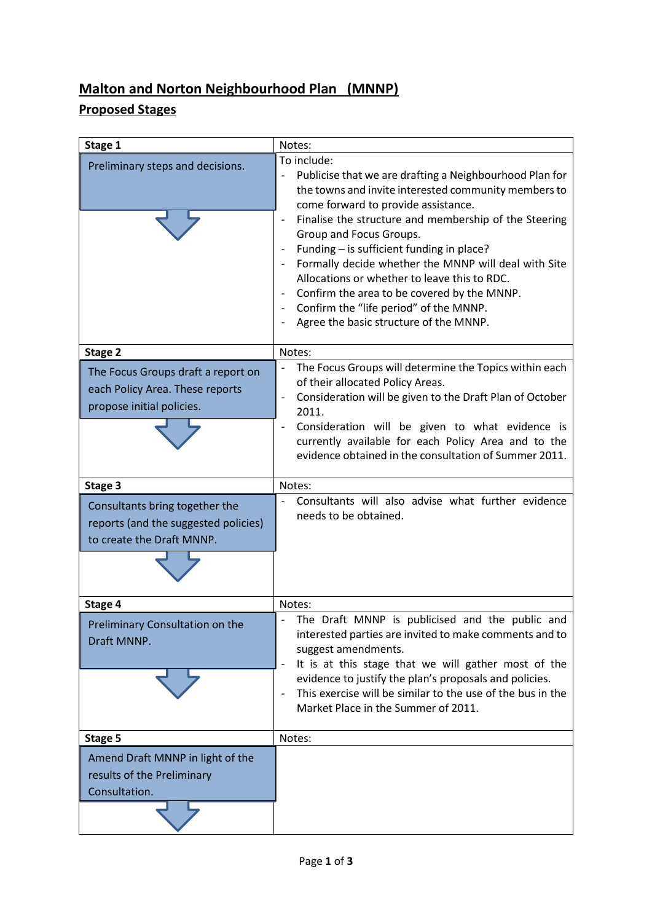## **Malton and Norton Neighbourhood Plan (MNNP)**

## **Proposed Stages**

| Stage 1                                                                                             | Notes:                                                                                                                                                                                                                                                                                                                                                                                                                                                                                                                                            |
|-----------------------------------------------------------------------------------------------------|---------------------------------------------------------------------------------------------------------------------------------------------------------------------------------------------------------------------------------------------------------------------------------------------------------------------------------------------------------------------------------------------------------------------------------------------------------------------------------------------------------------------------------------------------|
| Preliminary steps and decisions.                                                                    | To include:<br>Publicise that we are drafting a Neighbourhood Plan for<br>the towns and invite interested community members to<br>come forward to provide assistance.<br>Finalise the structure and membership of the Steering<br>Group and Focus Groups.<br>Funding - is sufficient funding in place?<br>Formally decide whether the MNNP will deal with Site<br>Allocations or whether to leave this to RDC.<br>Confirm the area to be covered by the MNNP.<br>Confirm the "life period" of the MNNP.<br>Agree the basic structure of the MNNP. |
| Stage 2                                                                                             | Notes:                                                                                                                                                                                                                                                                                                                                                                                                                                                                                                                                            |
| The Focus Groups draft a report on<br>each Policy Area. These reports<br>propose initial policies.  | The Focus Groups will determine the Topics within each<br>of their allocated Policy Areas.<br>Consideration will be given to the Draft Plan of October<br>2011.<br>Consideration will be given to what evidence is<br>$\overline{\phantom{a}}$<br>currently available for each Policy Area and to the<br>evidence obtained in the consultation of Summer 2011.                                                                                                                                                                                    |
| Stage 3                                                                                             | Notes:                                                                                                                                                                                                                                                                                                                                                                                                                                                                                                                                            |
| Consultants bring together the<br>reports (and the suggested policies)<br>to create the Draft MNNP. | Consultants will also advise what further evidence<br>needs to be obtained.                                                                                                                                                                                                                                                                                                                                                                                                                                                                       |
| Stage 4                                                                                             | Notes:                                                                                                                                                                                                                                                                                                                                                                                                                                                                                                                                            |
| Preliminary Consultation on the<br>Draft MNNP.                                                      | The Draft MNNP is publicised and the public and<br>interested parties are invited to make comments and to<br>suggest amendments.<br>It is at this stage that we will gather most of the<br>evidence to justify the plan's proposals and policies.<br>This exercise will be similar to the use of the bus in the<br>$\overline{\phantom{a}}$<br>Market Place in the Summer of 2011.                                                                                                                                                                |
| Stage 5                                                                                             | Notes:                                                                                                                                                                                                                                                                                                                                                                                                                                                                                                                                            |
| Amend Draft MNNP in light of the<br>results of the Preliminary<br>Consultation.                     |                                                                                                                                                                                                                                                                                                                                                                                                                                                                                                                                                   |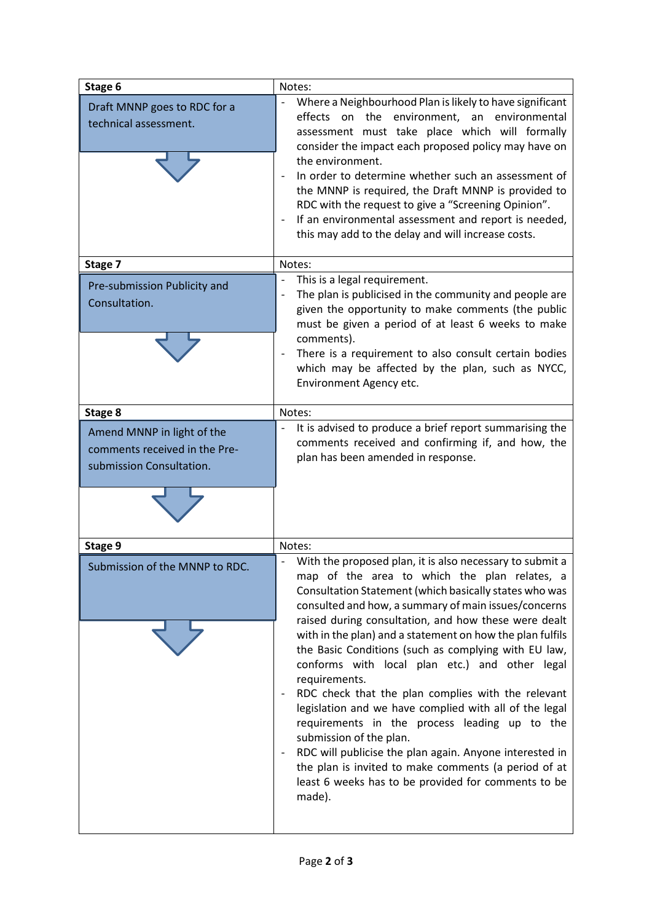| Stage 6                                                                                 | Notes:                                                                                                                                                                                                                                                                                                                                                                                                                                                                                                                                                                                                                                                                                                                                                                                                                                                     |
|-----------------------------------------------------------------------------------------|------------------------------------------------------------------------------------------------------------------------------------------------------------------------------------------------------------------------------------------------------------------------------------------------------------------------------------------------------------------------------------------------------------------------------------------------------------------------------------------------------------------------------------------------------------------------------------------------------------------------------------------------------------------------------------------------------------------------------------------------------------------------------------------------------------------------------------------------------------|
| Draft MNNP goes to RDC for a<br>technical assessment.                                   | Where a Neighbourhood Plan is likely to have significant<br>effects on<br>the environment,<br>environmental<br>an<br>assessment must take place which will formally<br>consider the impact each proposed policy may have on<br>the environment.<br>In order to determine whether such an assessment of<br>the MNNP is required, the Draft MNNP is provided to<br>RDC with the request to give a "Screening Opinion".<br>If an environmental assessment and report is needed,<br>this may add to the delay and will increase costs.                                                                                                                                                                                                                                                                                                                         |
| Stage 7                                                                                 | Notes:                                                                                                                                                                                                                                                                                                                                                                                                                                                                                                                                                                                                                                                                                                                                                                                                                                                     |
| Pre-submission Publicity and<br>Consultation.                                           | This is a legal requirement.<br>The plan is publicised in the community and people are<br>given the opportunity to make comments (the public<br>must be given a period of at least 6 weeks to make<br>comments).<br>There is a requirement to also consult certain bodies<br>which may be affected by the plan, such as NYCC,<br>Environment Agency etc.                                                                                                                                                                                                                                                                                                                                                                                                                                                                                                   |
| Stage 8                                                                                 | Notes:                                                                                                                                                                                                                                                                                                                                                                                                                                                                                                                                                                                                                                                                                                                                                                                                                                                     |
| Amend MNNP in light of the<br>comments received in the Pre-<br>submission Consultation. | It is advised to produce a brief report summarising the<br>comments received and confirming if, and how, the<br>plan has been amended in response.                                                                                                                                                                                                                                                                                                                                                                                                                                                                                                                                                                                                                                                                                                         |
| Stage 9                                                                                 | Notes:                                                                                                                                                                                                                                                                                                                                                                                                                                                                                                                                                                                                                                                                                                                                                                                                                                                     |
| Submission of the MNNP to RDC                                                           | With the proposed plan, it is also necessary to submit a<br>map of the area to which the plan relates, a<br>Consultation Statement (which basically states who was<br>consulted and how, a summary of main issues/concerns<br>raised during consultation, and how these were dealt<br>with in the plan) and a statement on how the plan fulfils<br>the Basic Conditions (such as complying with EU law,<br>conforms with local plan etc.) and other legal<br>requirements.<br>RDC check that the plan complies with the relevant<br>legislation and we have complied with all of the legal<br>requirements in the process leading up to the<br>submission of the plan.<br>RDC will publicise the plan again. Anyone interested in<br>the plan is invited to make comments (a period of at<br>least 6 weeks has to be provided for comments to be<br>made). |